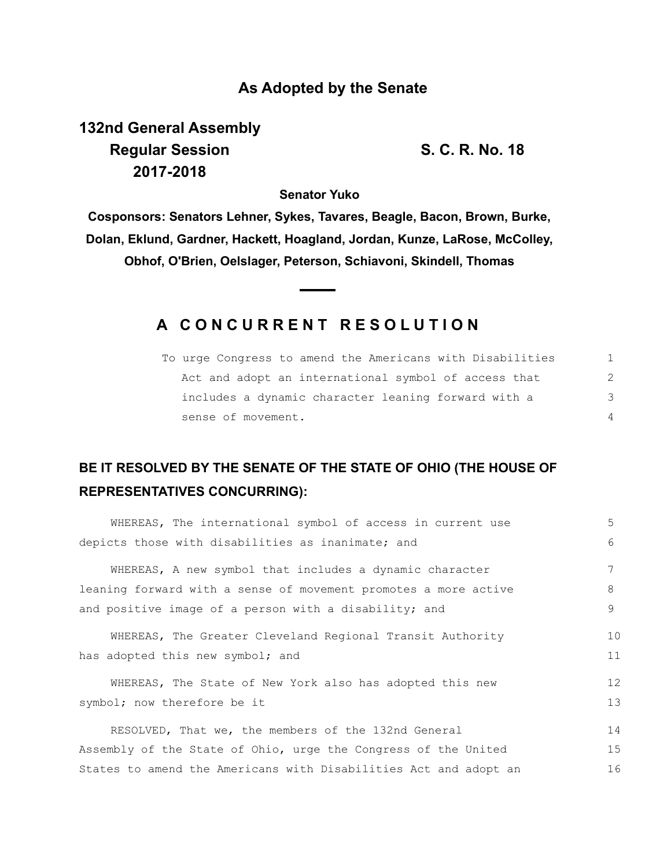#### **As Adopted by the Senate**

# **132nd General Assembly Regular Session S. C. R. No. 18 2017-2018**

**Senator Yuko**

**Cosponsors: Senators Lehner, Sykes, Tavares, Beagle, Bacon, Brown, Burke, Dolan, Eklund, Gardner, Hackett, Hoagland, Jordan, Kunze, LaRose, McColley, Obhof, O'Brien, Oelslager, Peterson, Schiavoni, Skindell, Thomas**

### **A C O N C U R R E N T R E S O L U T I O N**

| To urge Congress to amend the Americans with Disabilities |               |
|-----------------------------------------------------------|---------------|
| Act and adopt an international symbol of access that      | $\mathcal{L}$ |
| includes a dynamic character leaning forward with a       | 3             |
| sense of movement.                                        |               |

## **BE IT RESOLVED BY THE SENATE OF THE STATE OF OHIO (THE HOUSE OF REPRESENTATIVES CONCURRING):**

| WHEREAS, The international symbol of access in current use       | 5  |
|------------------------------------------------------------------|----|
| depicts those with disabilities as inanimate; and                | 6  |
| WHEREAS, A new symbol that includes a dynamic character          |    |
| leaning forward with a sense of movement promotes a more active  | 8  |
| and positive image of a person with a disability; and            | 9  |
| WHEREAS, The Greater Cleveland Regional Transit Authority        | 10 |
| has adopted this new symbol; and                                 | 11 |
| WHEREAS, The State of New York also has adopted this new         | 12 |
| symbol; now therefore be it                                      | 13 |
| RESOLVED, That we, the members of the 132nd General              | 14 |
| Assembly of the State of Ohio, urge the Congress of the United   | 15 |
| States to amend the Americans with Disabilities Act and adopt an | 16 |